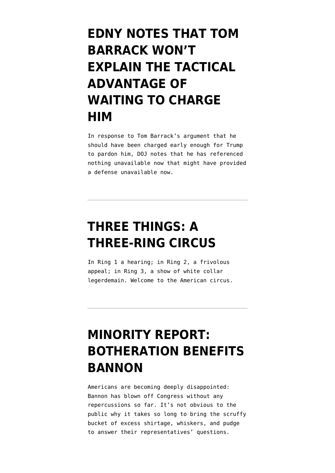## **[EDNY NOTES THAT TOM](https://www.emptywheel.net/2022/03/01/edny-notes-that-tom-barrack-wont-explain-the-tactical-advantage-of-waiting-to-charge-him/) [BARRACK WON'T](https://www.emptywheel.net/2022/03/01/edny-notes-that-tom-barrack-wont-explain-the-tactical-advantage-of-waiting-to-charge-him/) [EXPLAIN THE TACTICAL](https://www.emptywheel.net/2022/03/01/edny-notes-that-tom-barrack-wont-explain-the-tactical-advantage-of-waiting-to-charge-him/) [ADVANTAGE OF](https://www.emptywheel.net/2022/03/01/edny-notes-that-tom-barrack-wont-explain-the-tactical-advantage-of-waiting-to-charge-him/) [WAITING TO CHARGE](https://www.emptywheel.net/2022/03/01/edny-notes-that-tom-barrack-wont-explain-the-tactical-advantage-of-waiting-to-charge-him/) [HIM](https://www.emptywheel.net/2022/03/01/edny-notes-that-tom-barrack-wont-explain-the-tactical-advantage-of-waiting-to-charge-him/)**

In response to Tom Barrack's argument that he should have been charged early enough for Trump to pardon him, DOJ notes that he has referenced nothing unavailable now that might have provided a defense unavailable now.

### **[THREE THINGS: A](https://www.emptywheel.net/2021/11/30/three-things-a-three-ring-circus/) [THREE-RING CIRCUS](https://www.emptywheel.net/2021/11/30/three-things-a-three-ring-circus/)**

In Ring 1 a hearing; in Ring 2, a frivolous appeal; in Ring 3, a show of white collar legerdemain. Welcome to the American circus.

## **[MINORITY REPORT:](https://www.emptywheel.net/2021/11/09/minority-report-botheration-benefits-bannon/) [BOTHERATION BENEFITS](https://www.emptywheel.net/2021/11/09/minority-report-botheration-benefits-bannon/) [BANNON](https://www.emptywheel.net/2021/11/09/minority-report-botheration-benefits-bannon/)**

Americans are becoming deeply disappointed: Bannon has blown off Congress without any repercussions so far. It's not obvious to the public why it takes so long to bring the scruffy bucket of excess shirtage, whiskers, and pudge to answer their representatives' questions.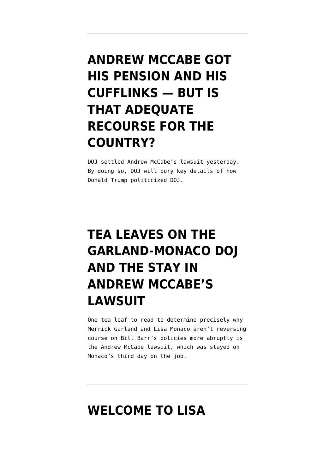## **[ANDREW MCCABE GOT](https://www.emptywheel.net/2021/10/15/andy-mccabe-got-his-pension-and-his-cufflinks-but-is-that-adequate-recourse-for-the-country/) [HIS PENSION AND HIS](https://www.emptywheel.net/2021/10/15/andy-mccabe-got-his-pension-and-his-cufflinks-but-is-that-adequate-recourse-for-the-country/) [CUFFLINKS — BUT IS](https://www.emptywheel.net/2021/10/15/andy-mccabe-got-his-pension-and-his-cufflinks-but-is-that-adequate-recourse-for-the-country/) [THAT ADEQUATE](https://www.emptywheel.net/2021/10/15/andy-mccabe-got-his-pension-and-his-cufflinks-but-is-that-adequate-recourse-for-the-country/) [RECOURSE FOR THE](https://www.emptywheel.net/2021/10/15/andy-mccabe-got-his-pension-and-his-cufflinks-but-is-that-adequate-recourse-for-the-country/) [COUNTRY?](https://www.emptywheel.net/2021/10/15/andy-mccabe-got-his-pension-and-his-cufflinks-but-is-that-adequate-recourse-for-the-country/)**

DOJ settled Andrew McCabe's lawsuit yesterday. By doing so, DOJ will bury key details of how Donald Trump politicized DOJ.

# **[TEA LEAVES ON THE](https://www.emptywheel.net/2021/06/09/tea-leaves-on-the-garland-monaco-doj-and-the-stay-in-andrew-mccabes-lawsuit/) [GARLAND-MONACO DOJ](https://www.emptywheel.net/2021/06/09/tea-leaves-on-the-garland-monaco-doj-and-the-stay-in-andrew-mccabes-lawsuit/) [AND THE STAY IN](https://www.emptywheel.net/2021/06/09/tea-leaves-on-the-garland-monaco-doj-and-the-stay-in-andrew-mccabes-lawsuit/) [ANDREW MCCABE'S](https://www.emptywheel.net/2021/06/09/tea-leaves-on-the-garland-monaco-doj-and-the-stay-in-andrew-mccabes-lawsuit/) [LAWSUIT](https://www.emptywheel.net/2021/06/09/tea-leaves-on-the-garland-monaco-doj-and-the-stay-in-andrew-mccabes-lawsuit/)**

One tea leaf to read to determine precisely why Merrick Garland and Lisa Monaco aren't reversing course on Bill Barr's policies more abruptly is the Andrew McCabe lawsuit, which was stayed on Monaco's third day on the job.

#### **[WELCOME TO LISA](https://www.emptywheel.net/2021/06/08/welcome-to-lisa-monacos-doj-e-jean-carroll-lawsuit-edition/)**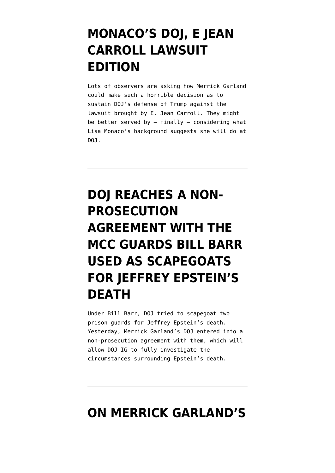### **[MONACO'S DOJ, E JEAN](https://www.emptywheel.net/2021/06/08/welcome-to-lisa-monacos-doj-e-jean-carroll-lawsuit-edition/) [CARROLL LAWSUIT](https://www.emptywheel.net/2021/06/08/welcome-to-lisa-monacos-doj-e-jean-carroll-lawsuit-edition/) [EDITION](https://www.emptywheel.net/2021/06/08/welcome-to-lisa-monacos-doj-e-jean-carroll-lawsuit-edition/)**

Lots of observers are asking how Merrick Garland could make such a horrible decision as to sustain DOJ's defense of Trump against the lawsuit brought by E. Jean Carroll. They might be better served by  $-$  finally  $-$  considering what Lisa Monaco's background suggests she will do at DOJ.

# **[DOJ REACHES A NON-](https://www.emptywheel.net/2021/05/22/doj-reaches-a-non-prosecution-agreement-with-the-mcc-guards-bill-barr-used-as-scapegoats/)[PROSECUTION](https://www.emptywheel.net/2021/05/22/doj-reaches-a-non-prosecution-agreement-with-the-mcc-guards-bill-barr-used-as-scapegoats/) [AGREEMENT WITH THE](https://www.emptywheel.net/2021/05/22/doj-reaches-a-non-prosecution-agreement-with-the-mcc-guards-bill-barr-used-as-scapegoats/) [MCC GUARDS BILL BARR](https://www.emptywheel.net/2021/05/22/doj-reaches-a-non-prosecution-agreement-with-the-mcc-guards-bill-barr-used-as-scapegoats/) [USED AS SCAPEGOATS](https://www.emptywheel.net/2021/05/22/doj-reaches-a-non-prosecution-agreement-with-the-mcc-guards-bill-barr-used-as-scapegoats/) [FOR JEFFREY EPSTEIN'S](https://www.emptywheel.net/2021/05/22/doj-reaches-a-non-prosecution-agreement-with-the-mcc-guards-bill-barr-used-as-scapegoats/) [DEATH](https://www.emptywheel.net/2021/05/22/doj-reaches-a-non-prosecution-agreement-with-the-mcc-guards-bill-barr-used-as-scapegoats/)**

Under Bill Barr, DOJ tried to scapegoat two prison guards for Jeffrey Epstein's death. Yesterday, Merrick Garland's DOJ entered into a non-prosecution agreement with them, which will allow DOJ IG to fully investigate the circumstances surrounding Epstein's death.

#### **[ON MERRICK GARLAND'S](https://www.emptywheel.net/2021/03/10/on-merrick-garlands-confirmation/)**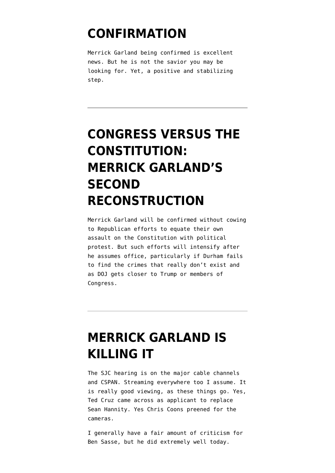#### **[CONFIRMATION](https://www.emptywheel.net/2021/03/10/on-merrick-garlands-confirmation/)**

Merrick Garland being confirmed is excellent news. But he is not the savior you may be looking for. Yet, a positive and stabilizing step.

## **[CONGRESS VERSUS THE](https://www.emptywheel.net/2021/02/26/congress-versus-the-constitution-merrick-garlands-second-reconstruction/) [CONSTITUTION:](https://www.emptywheel.net/2021/02/26/congress-versus-the-constitution-merrick-garlands-second-reconstruction/) [MERRICK GARLAND'S](https://www.emptywheel.net/2021/02/26/congress-versus-the-constitution-merrick-garlands-second-reconstruction/) [SECOND](https://www.emptywheel.net/2021/02/26/congress-versus-the-constitution-merrick-garlands-second-reconstruction/) [RECONSTRUCTION](https://www.emptywheel.net/2021/02/26/congress-versus-the-constitution-merrick-garlands-second-reconstruction/)**

Merrick Garland will be confirmed without cowing to Republican efforts to equate their own assault on the Constitution with political protest. But such efforts will intensify after he assumes office, particularly if Durham fails to find the crimes that really don't exist and as DOJ gets closer to Trump or members of Congress.

#### **[MERRICK GARLAND IS](https://www.emptywheel.net/2021/02/22/merrick-garland-is-killing-it/) [KILLING IT](https://www.emptywheel.net/2021/02/22/merrick-garland-is-killing-it/)**

The SJC hearing is on the major cable channels and CSPAN. Streaming everywhere too I assume. It is really good viewing, as these things go. Yes, Ted Cruz came across as applicant to replace Sean Hannity. Yes Chris Coons preened for the cameras.

I generally have a fair amount of criticism for Ben Sasse, but he did extremely well today.